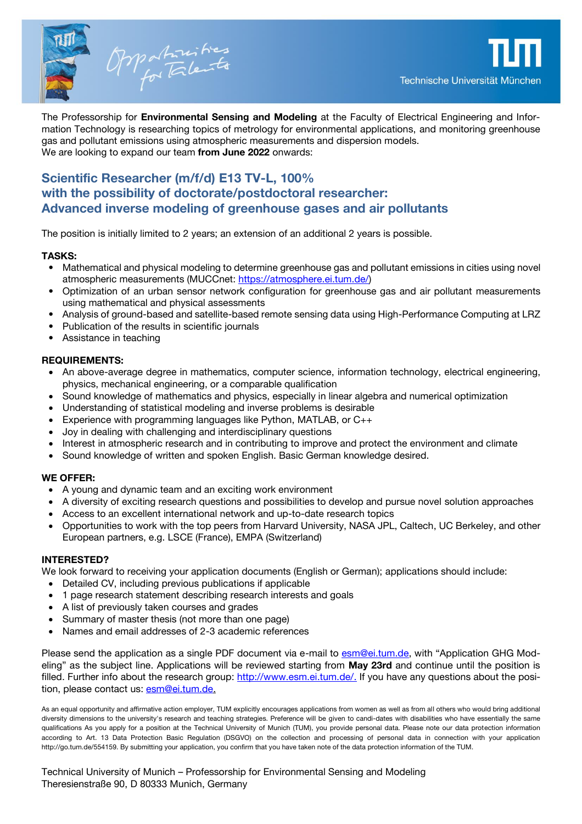

The Professorship for **Environmental Sensing and Modeling** at the Faculty of Electrical Engineering and Information Technology is researching topics of metrology for environmental applications, and monitoring greenhouse gas and pollutant emissions using atmospheric measurements and dispersion models. We are looking to expand our team **from June 2022** onwards:

## **Scientific Researcher (m/f/d) E13 TV-L, 100% with the possibility of doctorate/postdoctoral researcher: Advanced inverse modeling of greenhouse gases and air pollutants**

The position is initially limited to 2 years; an extension of an additional 2 years is possible.

## **TASKS:**

- Mathematical and physical modeling to determine greenhouse gas and pollutant emissions in cities using novel atmospheric measurements (MUCCnet: [https://atmosphere.ei.tum.de/\)](https://atmosphere.ei.tum.de/)
- Optimization of an urban sensor network configuration for greenhouse gas and air pollutant measurements using mathematical and physical assessments
- Analysis of ground-based and satellite-based remote sensing data using High-Performance Computing at LRZ
- Publication of the results in scientific journals
- Assistance in teaching

## **REQUIREMENTS:**

- An above-average degree in mathematics, computer science, information technology, electrical engineering, physics, mechanical engineering, or a comparable qualification
- Sound knowledge of mathematics and physics, especially in linear algebra and numerical optimization
- Understanding of statistical modeling and inverse problems is desirable
- Experience with programming languages like Python, MATLAB, or C++
- Joy in dealing with challenging and interdisciplinary questions
- Interest in atmospheric research and in contributing to improve and protect the environment and climate
- Sound knowledge of written and spoken English. Basic German knowledge desired.

### **WE OFFER:**

- A young and dynamic team and an exciting work environment
- A diversity of exciting research questions and possibilities to develop and pursue novel solution approaches
- Access to an excellent international network and up-to-date research topics
- Opportunities to work with the top peers from Harvard University, NASA JPL, Caltech, UC Berkeley, and other European partners, e.g. LSCE (France), EMPA (Switzerland)

### **INTERESTED?**

We look forward to receiving your application documents (English or German); applications should include:

- Detailed CV, including previous publications if applicable
- 1 page research statement describing research interests and goals
- A list of previously taken courses and grades
- Summary of master thesis (not more than one page)
- Names and email addresses of 2-3 academic references

Please send the application as a single PDF document via e-mail to [esm@ei.tum.de](mailto:esm@ei.tum.de), with "Application GHG Modeling" as the subject line. Applications will be reviewed starting from **May 23rd** and continue until the position is filled. Further info about the research group: [http://www.esm.ei.tum.de/.](http://www.esm.ei.tum.de/) If you have any questions about the position, please contact us: [esm@ei.tum.de.](mailto:esm@ei.tum.de)

As an equal opportunity and affirmative action employer, TUM explicitly encourages applications from women as well as from all others who would bring additional diversity dimensions to the university's research and teaching strategies. Preference will be given to candi-dates with disabilities who have essentially the same qualifications As you apply for a position at the Technical University of Munich (TUM), you provide personal data. Please note our data protection information according to Art. 13 Data Protection Basic Regulation (DSGVO) on the collection and processing of personal data in connection with your application http://go.tum.de/554159. By submitting your application, you confirm that you have taken note of the data protection information of the TUM.

Technical University of Munich – Professorship for Environmental Sensing and Modeling Theresienstraße 90, D 80333 Munich, Germany